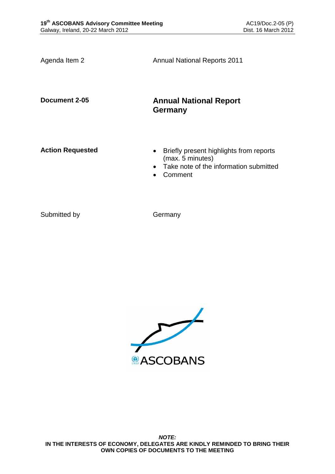Agenda Item 2 **Annual National Reports 2011 Document 2-05 Annual National Report Germany** Action Requested **and Separated Briefly present highlights from reports** (max. 5 minutes) • Take note of the information submitted Comment

Submitted by Germany

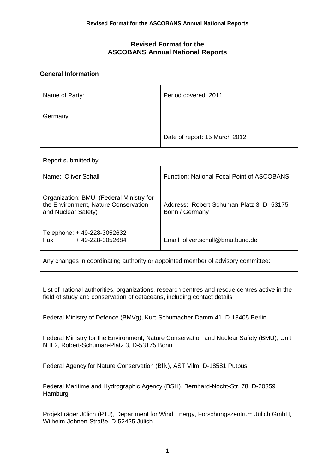# **Revised Format for the ASCOBANS Annual National Reports**

#### **General Information**

| Name of Party: | Period covered: 2011          |
|----------------|-------------------------------|
| Germany        |                               |
|                | Date of report: 15 March 2012 |

| Report submitted by:                                                                                   |                                                            |  |
|--------------------------------------------------------------------------------------------------------|------------------------------------------------------------|--|
| Name: Oliver Schall                                                                                    | <b>Function: National Focal Point of ASCOBANS</b>          |  |
| Organization: BMU (Federal Ministry for<br>the Environment, Nature Conservation<br>and Nuclear Safety) | Address: Robert-Schuman-Platz 3, D-53175<br>Bonn / Germany |  |
| Telephone: +49-228-3052632<br>Fax: Fax<br>+49-228-3052684                                              | Email: oliver.schall@bmu.bund.de                           |  |
|                                                                                                        |                                                            |  |

Any changes in coordinating authority or appointed member of advisory committee:

List of national authorities, organizations, research centres and rescue centres active in the field of study and conservation of cetaceans, including contact details

Federal Ministry of Defence (BMVg), Kurt-Schumacher-Damm 41, D-13405 Berlin

Federal Ministry for the Environment, Nature Conservation and Nuclear Safety (BMU), Unit N II 2, Robert-Schuman-Platz 3, D-53175 Bonn

Federal Agency for Nature Conservation (BfN), AST Vilm, D-18581 Putbus

Federal Maritime and Hydrographic Agency (BSH), Bernhard-Nocht-Str. 78, D-20359 **Hamburg** 

Projektträger Jülich (PTJ), Department for Wind Energy, Forschungszentrum Jülich GmbH, Wilhelm-Johnen-Straße, D-52425 Jülich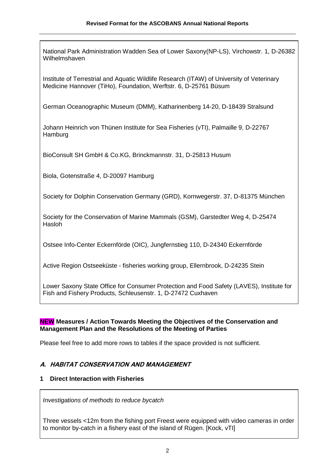National Park Administration Wadden Sea of Lower Saxony(NP-LS), Virchowstr. 1, D-26382 Wilhelmshaven

Institute of Terrestrial and Aquatic Wildlife Research (ITAW) of University of Veterinary Medicine Hannover (TiHo), Foundation, Werftstr. 6, D-25761 Büsum

German Oceanographic Museum (DMM), Katharinenberg 14-20, D-18439 Stralsund

Johann Heinrich von Thünen Institute for Sea Fisheries (vTI), Palmaille 9, D-22767 **Hamburg** 

BioConsult SH GmbH & Co.KG, Brinckmannstr. 31, D-25813 Husum

Biola, Gotenstraße 4, D-20097 Hamburg

Society for Dolphin Conservation Germany (GRD), Kornwegerstr. 37, D-81375 München

Society for the Conservation of Marine Mammals (GSM), Garstedter Weg 4, D-25474 Hasloh

Ostsee Info-Center Eckernförde (OIC), Jungfernstieg 110, D-24340 Eckernförde

Active Region Ostseeküste - fisheries working group, Ellernbrook, D-24235 Stein

Lower Saxony State Office for Consumer Protection and Food Safety (LAVES), Institute for Fish and Fishery Products, Schleusenstr. 1, D-27472 Cuxhaven

#### **NEW Measures / Action Towards Meeting the Objectives of the Conservation and Management Plan and the Resolutions of the Meeting of Parties**

Please feel free to add more rows to tables if the space provided is not sufficient.

## **A. HABITAT CONSERVATION AND MANAGEMENT**

#### **1 Direct Interaction with Fisheries**

*Investigations of methods to reduce bycatch*

Three vessels <12m from the fishing port Freest were equipped with video cameras in order to monitor by-catch in a fishery east of the island of Rügen. [Kock, vTI]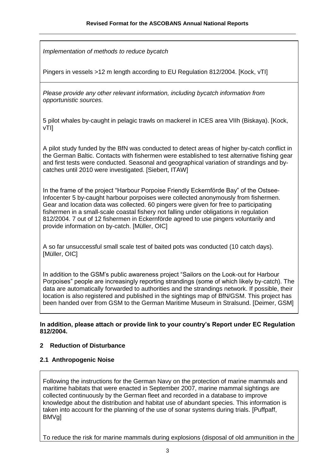*Implementation of methods to reduce bycatch*

Pingers in vessels >12 m length according to EU Regulation 812/2004. [Kock, vTI]

*Please provide any other relevant information, including bycatch information from opportunistic sources.*

5 pilot whales by-caught in pelagic trawls on mackerel in ICES area VIIh (Biskaya). [Kock, vTI]

A pilot study funded by the BfN was conducted to detect areas of higher by-catch conflict in the German Baltic. Contacts with fishermen were established to test alternative fishing gear and first tests were conducted. Seasonal and geographical variation of strandings and bycatches until 2010 were investigated. [Siebert, ITAW]

In the frame of the project "Harbour Porpoise Friendly Eckernförde Bay" of the Ostsee-Infocenter 5 by-caught harbour porpoises were collected anonymously from fishermen. Gear and location data was collected. 60 pingers were given for free to participating fishermen in a small-scale coastal fishery not falling under obligations in regulation 812/2004. 7 out of 12 fishermen in Eckernförde agreed to use pingers voluntarily and provide information on by-catch. [Müller, OIC]

A so far unsuccessful small scale test of baited pots was conducted (10 catch days). [Müller, OIC]

In addition to the GSM's public awareness project "Sailors on the Look-out for Harbour Porpoises" people are increasingly reporting strandings (some of which likely by-catch). The data are automatically forwarded to authorities and the strandings network. If possible, their location is also registered and published in the sightings map of BfN/GSM. This project has been handed over from GSM to the German Maritime Museum in Stralsund. [Deimer, GSM]

**In addition, please attach or provide link to your country's Report under EC Regulation 812/2004.**

## **2 Reduction of Disturbance**

## **2.1 Anthropogenic Noise**

Following the instructions for the German Navy on the protection of marine mammals and maritime habitats that were enacted in September 2007, marine mammal sightings are collected continuously by the German fleet and recorded in a database to improve knowledge about the distribution and habitat use of abundant species. This information is taken into account for the planning of the use of sonar systems during trials. [Puffpaff, **BMVal** 

To reduce the risk for marine mammals during explosions (disposal of old ammunition in the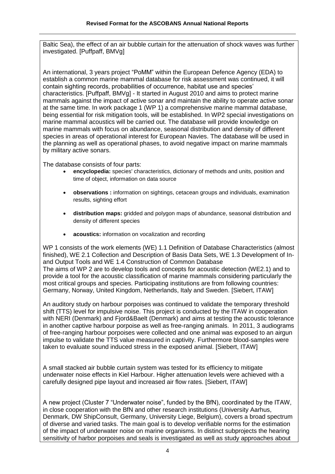Baltic Sea), the effect of an air bubble curtain for the attenuation of shock waves was further investigated. [Puffpaff, BMVg]

An international, 3 years project "PoMM" within the European Defence Agency (EDA) to establish a common marine mammal database for risk assessment was continued, it will contain sighting records, probabilities of occurrence, habitat use and species' characteristics. [Puffpaff, BMVg] - It started in August 2010 and aims to protect marine mammals against the impact of active sonar and maintain the ability to operate active sonar at the same time. In work package 1 (WP 1) a comprehensive marine mammal database, being essential for risk mitigation tools, will be established. In WP2 special investigations on marine mammal acoustics will be carried out. The database will provide knowledge on marine mammals with focus on abundance, seasonal distribution and density of different species in areas of operational interest for European Navies. The database will be used in the planning as well as operational phases, to avoid negative impact on marine mammals by military active sonars.

The database consists of four parts:

- **encyclopedia:** species' characteristics, dictionary of methods and units, position and time of object, information on data source
- **observations :** information on sightings, cetacean groups and individuals, examination results, sighting effort
- **distribution maps:** gridded and polygon maps of abundance, seasonal distribution and density of different species
- **acoustics:** information on vocalization and recording

WP 1 consists of the work elements (WE) 1.1 Definition of Database Characteristics (almost finished), WE 2.1 Collection and Description of Basis Data Sets, WE 1.3 Development of Inand Output Tools and WE 1.4 Construction of Common Database The aims of WP 2 are to develop tools and concepts for acoustic detection (WE2.1) and to provide a tool for the acoustic classification of marine mammals considering particularly the most critical groups and species. Participating institutions are from following countries: Germany, Norway, United Kingdom, Netherlands, Italy and Sweden. [Siebert, ITAW]

An auditory study on harbour porpoises was continued to validate the temporary threshold shift (TTS) level for impulsive noise. This project is conducted by the ITAW in cooperation with NERI (Denmark) and Fjord&Baelt (Denmark) and aims at testing the acoustic tolerance in another captive harbour porpoise as well as free-ranging animals. In 2011, 3 audiograms of free-ranging harbour porpoises were collected and one animal was exposed to an airgun impulse to validate the TTS value measured in captivity. Furthermore blood-samples were taken to evaluate sound induced stress in the exposed animal. [Siebert, ITAW]

A small stacked air bubble curtain system was tested for its efficiency to mitigate underwater noise effects in Kiel Harbour. Higher attenuation levels were achieved with a carefully designed pipe layout and increased air flow rates. [Siebert, ITAW]

A new project (Cluster 7 "Underwater noise", funded by the BfN), coordinated by the ITAW, in close cooperation with the BfN and other research institutions (University Aarhus, Denmark, DW ShipConsult, Germany, University Liege, Belgium), covers a broad spectrum of diverse and varied tasks. The main goal is to develop verifiable norms for the estimation of the impact of underwater noise on marine organisms. In distinct subprojects the hearing sensitivity of harbor porpoises and seals is investigated as well as study approaches about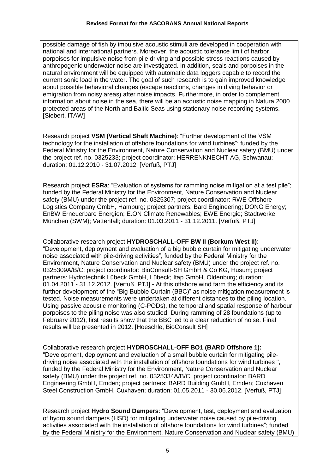possible damage of fish by impulsive acoustic stimuli are developed in cooperation with national and international partners. Moreover, the acoustic tolerance limit of harbor porpoises for impulsive noise from pile driving and possible stress reactions caused by anthropogenic underwater noise are investigated. In addition, seals and porpoises in the natural environment will be equipped with automatic data loggers capable to record the current sonic load in the water. The goal of such research is to gain improved knowledge about possible behavioral changes (escape reactions, changes in diving behavior or emigration from noisy areas) after noise impacts. Furthermore, in order to complement information about noise in the sea, there will be an acoustic noise mapping in Natura 2000 protected areas of the North and Baltic Seas using stationary noise recording systems. [Siebert, ITAW]

Research project **VSM (Vertical Shaft Machine)**: "Further development of the VSM technology for the installation of offshore foundations for wind turbines"; funded by the Federal Ministry for the Environment, Nature Conservation and Nuclear safety (BMU) under the project ref. no. 0325233; project coordinator: HERRENKNECHT AG, Schwanau; duration: 01.12.2010 - 31.07.2012. [Verfuß, PTJ]

Research project **ESRa**: "Evaluation of systems for ramming noise mitigation at a test pile"; funded by the Federal Ministry for the Environment, Nature Conservation and Nuclear safety (BMU) under the project ref. no. 0325307; project coordinator: RWE Offshore Logistics Company GmbH, Hamburg; project partners: Bard Engineering; DONG Energy; EnBW Erneuerbare Energien; E.ON Climate Renewables; EWE Energie; Stadtwerke München (SWM); Vattenfall; duration: 01.03.2011 - 31.12.2011. [Verfuß, PTJ]

Collaborative research project **HYDROSCHALL-OFF BW II (Borkum West II)**: "Development, deployment and evaluation of a big bubble curtain for mitigating underwater noise associated with pile-driving activities", funded by the Federal Ministry for the Environment, Nature Conservation and Nuclear safety (BMU) under the project ref. no. 0325309A/B/C; project coordinator: BioConsult-SH GmbH & Co KG, Husum; project partners: Hydrotechnik Lübeck GmbH, Lübeck; Itap GmbH, Oldenburg; duration: 01.04.2011 - 31.12.2012. [Verfuß, PTJ] - At this offshore wind farm the efficiency and its further development of the "Big Bubble Curtain (BBC)" as noise mitigation measurement is tested. Noise measurements were undertaken at different distances to the piling location. Using passive acoustic monitoring (C-PODs), the temporal and spatial response of harbour porpoises to the piling noise was also studied. During ramming of 28 foundations (up to February 2012), first results show that the BBC led to a clear reduction of noise. Final results will be presented in 2012. [Hoeschle, BioConsult SH]

Collaborative research project **HYDROSCHALL-OFF BO1 (BARD Offshore 1):** "Development, deployment and evaluation of a small bubble curtain for mitigating piledriving noise associated with the installation of offshore foundations for wind turbines ", funded by the Federal Ministry for the Environment, Nature Conservation and Nuclear safety (BMU) under the project ref. no. 0325334A/B/C; project coordinator: BARD Engineering GmbH, Emden; project partners: BARD Building GmbH, Emden; Cuxhaven Steel Construction GmbH, Cuxhaven; duration: 01.05.2011 - 30.06.2012. [Verfuß, PTJ]

Research project **Hydro Sound Dampers**: "Development, test, deployment and evaluation of hydro sound dampers (HSD) for mitigating underwater noise caused by pile-driving activities associated with the installation of offshore foundations for wind turbines"; funded by the Federal Ministry for the Environment, Nature Conservation and Nuclear safety (BMU)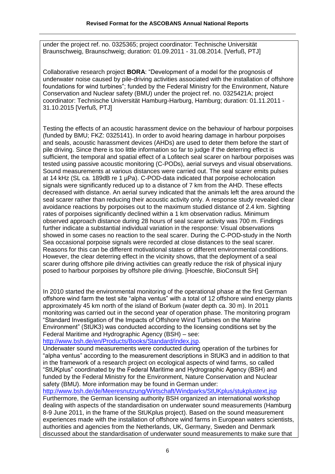under the project ref. no. 0325365; project coordinator: Technische Universität Braunschweig, Braunschweig; duration: 01.09.2011 - 31.08.2014. [Verfuß, PTJ]

Collaborative research project **BORA**: "Development of a model for the prognosis of underwater noise caused by pile-driving activities associated with the installation of offshore foundations for wind turbines"; funded by the Federal Ministry for the Environment, Nature Conservation and Nuclear safety (BMU) under the project ref. no. 0325421A; project coordinator: Technische Universität Hamburg-Harburg, Hamburg; duration: 01.11.2011 - 31.10.2015 [Verfuß, PTJ]

Testing the effects of an acoustic harassment device on the behaviour of harbour porpoises (funded by BMU; FKZ: 0325141). In order to avoid hearing damage in harbour porpoises and seals, acoustic harassment devices (AHDs) are used to deter them before the start of pile driving. Since there is too little information so far to judge if the deterring effect is sufficient, the temporal and spatial effect of a Lofitech seal scarer on harbour porpoises was tested using passive acoustic monitoring (C-PODs), aerial surveys and visual observations. Sound measurements at various distances were carried out. The seal scarer emits pulses at 14 kHz (SL ca. 189dB re 1 µPa). C-POD-data indicated that porpoise echolocation signals were significantly reduced up to a distance of 7 km from the AHD. These effects decreased with distance. An aerial survey indicated that the animals left the area around the seal scarer rather than reducing their acoustic activity only. A response study revealed clear avoidance reactions by porpoises out to the maximum studied distance of 2.4 km. Sighting rates of porpoises significantly declined within a 1 km observation radius. Minimum observed approach distance during 28 hours of seal scarer activity was 700 m. Findings further indicate a substantial individual variation in the response: Visual observations showed in some cases no reaction to the seal scarer. During the C-POD-study in the North Sea occasional porpoise signals were recorded at close distances to the seal scarer. Reasons for this can be different motivational states or different environmental conditions. However, the clear deterring effect in the vicinity shows, that the deployment of a seal scarer during offshore pile driving activities can greatly reduce the risk of physical injury posed to harbour porpoises by offshore pile driving. [Hoeschle, BioConsult SH]

In 2010 started the environmental monitoring of the operational phase at the first German offshore wind farm the test site "alpha ventus" with a total of 12 offshore wind energy plants approximately 45 km north of the island of Borkum (water depth ca. 30 m). In 2011 monitoring was carried out in the second year of operation phase. The monitoring program "Standard Investigation of the Impacts of Offshore Wind Turbines on the Marine Environment" (StUK3) was conducted according to the licensing conditions set by the Federal Maritime and Hydrographic Agency (BSH) – see:

```
http://www.bsh.de/en/Products/Books/Standard/index.jsp.
```
Underwater sound measurements were conducted during operation of the turbines for "alpha ventus" according to the measurement descriptions in StUK3 and in addition to that in the framework of a research project on ecological aspects of wind farms, so called "StUKplus" coordinated by the Federal Maritime and Hydrographic Agency (BSH) and funded by the Federal Ministry for the Environment, Nature Conservation and Nuclear safety (BMU). More information may be found in German under:

<http://www.bsh.de/de/Meeresnutzung/Wirtschaft/Windparks/StUKplus/stukplustext.jsp> Furthermore, the German licensing authority BSH organized an international workshop dealing with aspects of the standardisation on underwater sound measurements (Hamburg 8-9 June 2011, in the frame of the StUKplus project). Based on the sound measurement experiences made with the installation of offshore wind farms in European waters scientists, authorities and agencies from the Netherlands, UK, Germany, Sweden and Denmark discussed about the standardisation of underwater sound measurements to make sure that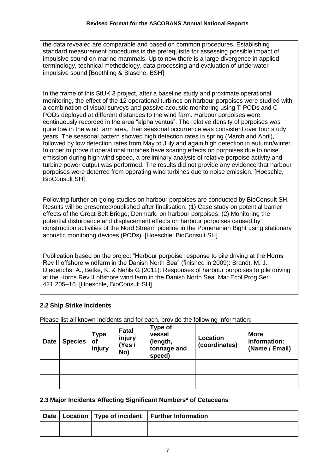the data revealed are comparable and based on common procedures. Establishing standard measurement procedures is the prerequisite for assessing possible impact of impulsive sound on marine mammals. Up to now there is a large divergence in applied terminology, technical methodology, data processing and evaluation of underwater impulsive sound [Boethling & Blasche, BSH]

In the frame of this StUK 3 project, after a baseline study and proximate operational monitoring, the effect of the 12 operational turbines on harbour porpoises were studied with a combination of visual surveys and passive acoustic monitoring using T-PODs and C-PODs deployed at different distances to the wind farm. Harbour porpoises were continuously recorded in the area "alpha ventus". The relative density of porpoises was quite low in the wind farm area, their seasonal occurrence was consistent over four study years. The seasonal pattern showed high detection rates in spring (March and April), followed by low detection rates from May to July and again high detection in autumn/winter. In order to prove if operational turbines have scaring effects on porpoises due to noise emission during high wind speed, a preliminary analysis of relative porpoise activity and turbine power output was performed. The results did not provide any evidence that harbour porpoises were deterred from operating wind turbines due to noise emission. [Hoeschle, BioConsult SH]

Following further on-going studies on harbour porpoises are conducted by BioConsult SH. Results will be presented/published after finalisation: (1) Case study on potential barrier effects of the Great Belt Bridge, Denmark, on harbour porpoises. (2) Monitoring the potential disturbance and displacement effects on harbour porpoises caused by construction activities of the Nord Stream pipeline in the Pomeranian Bight using stationary acoustic monitoring devices (PODs). [Hoeschle, BioConsult SH]

Publication based on the project "Harbour porpoise response to pile driving at the Horns Rev II offshore windfarm in the Danish North Sea" (finished in 2009): Brandt, M. J., Diederichs, A., Betke, K. & Nehls G (2011): Responses of harbour porpoises to pile driving at the Horns Rev II offshore wind farm in the Danish North Sea. Mar Ecol Prog Ser 421:205–16. [Hoeschle, BioConsult SH]

## **2.2 Ship Strike Incidents**

Please list all known incidents and for each, provide the following information:

| <b>Date</b> | <b>Species</b> | <b>Type</b><br>of<br>injury | <b>Fatal</b><br>injury<br>(Yes /<br>No) | Type of<br>vessel<br>(length,<br>tonnage and<br>speed) | Location<br>(coordinates) | <b>More</b><br>information:<br>(Name / Email) |
|-------------|----------------|-----------------------------|-----------------------------------------|--------------------------------------------------------|---------------------------|-----------------------------------------------|
|             |                |                             |                                         |                                                        |                           |                                               |
|             |                |                             |                                         |                                                        |                           |                                               |

#### **2.3 Major Incidents Affecting Significant Numbers\* of Cetaceans**

|  | Date   Location   Type of incident   Further Information |
|--|----------------------------------------------------------|
|  |                                                          |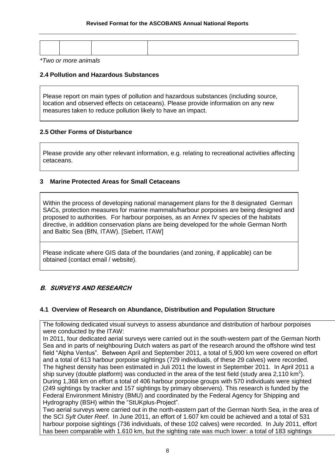*\*Two or more animals*

#### **2.4 Pollution and Hazardous Substances**

Please report on main types of pollution and hazardous substances (including source, location and observed effects on cetaceans). Please provide information on any new measures taken to reduce pollution likely to have an impact.

#### **2.5 Other Forms of Disturbance**

Please provide any other relevant information, e.g. relating to recreational activities affecting cetaceans.

#### **3 Marine Protected Areas for Small Cetaceans**

Within the process of developing national management plans for the 8 designated German SACs, protection measures for marine mammals/harbour porpoises are being designed and proposed to authorities. For harbour porpoises, as an Annex IV species of the habitats directive, in addition conservation plans are being developed for the whole German North and Baltic Sea (BfN, ITAW). [Siebert, ITAW]

Please indicate where GIS data of the boundaries (and zoning, if applicable) can be obtained (contact email / website).

## **B. SURVEYS AND RESEARCH**

## **4.1 Overview of Research on Abundance, Distribution and Population Structure**

The following dedicated visual surveys to assess abundance and distribution of harbour porpoises were conducted by the ITAW:

In 2011, four dedicated aerial surveys were carried out in the south-western part of the German North Sea and in parts of neighbouring Dutch waters as part of the research around the offshore wind test field "Alpha Ventus". Between April and September 2011, a total of 5,900 km were covered on effort and a total of 613 harbour porpoise sightings (729 individuals, of these 29 calves) were recorded. The highest density has been estimated in Juli 2011 the lowest in September 2011. In April 2011 a ship survey (double platform) was conducted in the area of the test field (study area 2,110 km<sup>2</sup>). During 1,368 km on effort a total of 406 harbour porpoise groups with 570 individuals were sighted (249 sightings by tracker and 157 sightings by primary observers). This research is funded by the Federal Environment Ministry (BMU) and coordinated by the Federal Agency for Shipping and Hydrography (BSH) within the "StUKplus-Project".

Two aerial surveys were carried out in the north-eastern part of the German North Sea, in the area of the SCI *Sylt Outer Reef*. In June 2011, an effort of 1.607 km could be achieved and a total of 531 harbour porpoise sightings (736 individuals, of these 102 calves) were recorded. In July 2011, effort has been comparable with 1.610 km, but the sighting rate was much lower: a total of 183 sightings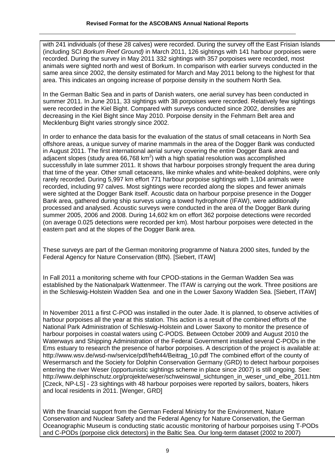with 241 individuals (of these 28 calves) were recorded. During the survey off the East Frisian Islands (including SCI *Borkum Reef Ground)* in March 2011, 126 sightings with 141 harbour porpoises were recorded. During the survey in May 2011 332 sightings with 357 porpoises were recorded, most animals were sighted north and west of Borkum. In comparison with earlier surveys conducted in the same area since 2002, the density estimated for March and May 2011 belong to the highest for that area. This indicates an ongoing increase of porpoise density in the southern North Sea.

In the German Baltic Sea and in parts of Danish waters, one aerial survey has been conducted in summer 2011. In June 2011, 33 sightings with 38 porpoises were recorded. Relatively few sightings were recorded in the Kiel Bight. Compared with surveys conducted since 2002, densities are decreasing in the Kiel Bight since May 2010. Porpoise density in the Fehmarn Belt area and Mecklenburg Bight varies strongly since 2002.

In order to enhance the data basis for the evaluation of the status of small cetaceans in North Sea offshore areas, a unique survey of marine mammals in the area of the Dogger Bank was conducted in August 2011. The first international aerial survey covering the entire Dogger Bank area and adjacent slopes (study area 66,768 km<sup>2</sup>) with a high spatial resolution was accomplished successfully in late summer 2011. It shows that harbour porpoises strongly frequent the area during that time of the year. Other small cetaceans, like minke whales and white-beaked dolphins, were only rarely recorded. During 5,997 km effort 771 harbour porpoise sightings with 1,104 animals were recorded, including 97 calves. Most sightings were recorded along the slopes and fewer animals were sighted at the Dogger Bank itself. Acoustic data on harbour porpoise presence in the Dogger Bank area, gathered during ship surveys using a towed hydrophone (IFAW), were additionally processed and analysed. Acoustic surveys were conducted in the area of the Dogger Bank during summer 2005, 2006 and 2008. During 14,602 km on effort 362 porpoise detections were recorded (on average 0.025 detections were recorded per km). Most harbour porpoises were detected in the eastern part and at the slopes of the Dogger Bank area.

These surveys are part of the German monitoring programme of Natura 2000 sites, funded by the Federal Agency for Nature Conservation (BfN). [Siebert, ITAW]

In Fall 2011 a monitoring scheme with four CPOD-stations in the German Wadden Sea was established by the Nationalpark Wattenmeer. The ITAW is carrying out the work. Three positions are in the Schleswig-Holstein Wadden Sea and one in the Lower Saxony Wadden Sea. [Siebert, ITAW]

In November 2011 a first C-POD was installed in the outer Jade. It is planned, to observe activities of harbour porpoises all the year at this station. This action is a result of the combined efforts of the National Park Administration of Schleswig-Holstein and Lower Saxony to monitor the presence of harbour porpoises in coastal waters using C-PODS. Between October 2009 and August 2010 the Waterways and Shipping Administration of the Federal Government installed several C-PODs in the Ems estuary to research the presence of harbor porpoises. A description of the project is available at: [http://www.wsv.de/wsd-nw/service/pdf/heft44/Beitrag\\_10.pdf](http://www.wsv.de/wsd-nw/service/pdf/heft44/Beitrag_10.pdf) The combined effort of the county of Wesermarsch and the Society for Dolphin Conservation Germany (GRD) to detect harbour porpoises entering the river Weser (opportunistic sightings scheme in place since 2007) is still ongoing. See: [http://www.delphinschutz.org/projekte/weser/schweinswal\\_sichtungen\\_in\\_weser\\_und\\_elbe\\_2011.htm](http://www.delphinschutz.org/projekte/weser/schweinswal_sichtungen_in_weser_und_elbe_2011.htm)  [Czeck, NP-LS] - 23 sightings with 48 harbour porpoises were reported by sailors, boaters, hikers and local residents in 2011. [Wenger, GRD]

With the financial support from the German Federal Ministry for the Environment, Nature Conservation and Nuclear Safety and the Federal Agency for Nature Conservation, the German Oceanographic Museum is conducting static acoustic monitoring of harbour porpoises using T-PODs and C-PODs (porpoise click detectors) in the Baltic Sea. Our long-term dataset (2002 to 2007)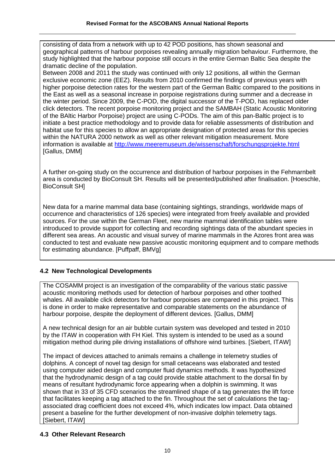consisting of data from a network with up to 42 POD positions, has shown seasonal and geographical patterns of harbour porpoises revealing annually migration behaviour. Furthermore, the study highlighted that the harbour porpoise still occurs in the entire German Baltic Sea despite the dramatic decline of the population.

Between 2008 and 2011 the study was continued with only 12 positions, all within the German exclusive economic zone (EEZ). Results from 2010 confirmed the findings of previous years with higher porpoise detection rates for the western part of the German Baltic compared to the positions in the East as well as a seasonal increase in porpoise registrations during summer and a decrease in the winter period. Since 2009, the C-POD, the digital successor of the T-POD, has replaced older click detectors. The recent porpoise monitoring project and the SAMBAH (Static Acoustic Monitoring of the BAltic Harbor Porpoise) project are using C-PODs. The aim of this pan-Baltic project is to initiate a best practice methodology and to provide data for reliable assessments of distribution and habitat use for this species to allow an appropriate designation of protected areas for this species within the NATURA 2000 network as well as other relevant mitigation measurement. More information is available at<http://www.meeremuseum.de/wissenschaft/forschungsprojekte.html> [Gallus, DMM]

A further on-going study on the occurrence and distribution of harbour porpoises in the Fehmarnbelt area is conducted by BioConsult SH. Results will be presented/published after finalisation. [Hoeschle, BioConsult SH]

New data for a marine mammal data base (containing sightings, strandings, worldwide maps of occurrence and characteristics of 126 species) were integrated from freely available and provided sources. For the use within the German Fleet, new marine mammal identification tables were introduced to provide support for collecting and recording sightings data of the abundant species in different sea areas. An acoustic and visual survey of marine mammals in the Azores front area was conducted to test and evaluate new passive acoustic monitoring equipment and to compare methods for estimating abundance. [Puffpaff, BMVg]

## **4.2 New Technological Developments**

The COSAMM project is an investigation of the comparability of the various static passive acoustic monitoring methods used for detection of harbour porpoises and other toothed whales. All available click detectors for harbour porpoises are compared in this project. This is done in order to make representative and comparable statements on the abundance of harbour porpoise, despite the deployment of different devices. [Gallus, DMM]

A new technical design for an air bubble curtain system was developed and tested in 2010 by the ITAW in cooperation with FH Kiel. This system is intended to be used as a sound mitigation method during pile driving installations of offshore wind turbines. [Siebert, ITAW]

The impact of devices attached to animals remains a challenge in telemetry studies of dolphins. A concept of novel tag design for small cetaceans was elaborated and tested using computer aided design and computer fluid dynamics methods. It was hypothesized that the hydrodynamic design of a tag could provide stable attachment to the dorsal fin by means of resultant hydrodynamic force appearing when a dolphin is swimming. It was shown that in 33 of 35 CFD scenarios the streamlined shape of a tag generates the lift force that facilitates keeping a tag attached to the fin. Throughout the set of calculations the tagassociated drag coefficient does not exceed 4%, which indicates low impact. Data obtained present a baseline for the further development of non-invasive dolphin telemetry tags. [Siebert, ITAW]

## **4.3 Other Relevant Research**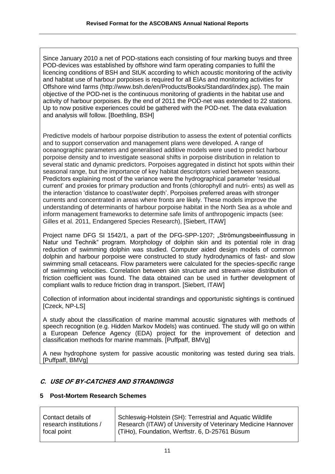Since January 2010 a net of POD-stations each consisting of four marking buoys and three POD-devices was established by offshore wind farm operating companies to fulfil the licencing conditions of BSH and StUK according to which acoustic monitoring of the activity and habitat use of harbour porpoises is required for all EIAs and monitoring activities for Offshore wind farms (http://www.bsh.de/en/Products/Books/Standard/index.jsp). The main objective of the POD-net is the continuous monitoring of gradients in the habitat use and activity of harbour porpoises. By the end of 2011 the POD-net was extended to 22 stations. Up to now positive experiences could be gathered with the POD-net. The data evaluation and analysis will follow. [Boethling, BSH]

Predictive models of harbour porpoise distribution to assess the extent of potential conflicts and to support conservation and management plans were developed. A range of oceanographic parameters and generalised additive models were used to predict harbour porpoise density and to investigate seasonal shifts in porpoise distribution in relation to several static and dynamic predictors. Porpoises aggregated in distinct hot spots within their seasonal range, but the importance of key habitat descriptors varied between seasons. Predictors explaining most of the variance were the hydrographical parameter 'residual current' and proxies for primary production and fronts (chlorophyll and nutri- ents) as well as the interaction 'distance to coast/water depth'. Porpoises preferred areas with stronger currents and concentrated in areas where fronts are likely. These models improve the understanding of determinants of harbour porpoise habitat in the North Sea as a whole and inform management frameworks to determine safe limits of anthropogenic impacts (see: Gilles et al. 2011, Endangered Species Research), [Siebert, ITAW]

Project name DFG SI 1542/1, a part of the DFG-SPP-1207; "Strömungsbeeinflussung in Natur und Technik" program. Morphology of dolphin skin and its potential role in drag reduction of swimming dolphin was studied. Computer aided design models of common dolphin and harbour porpoise were constructed to study hydrodynamics of fast- and slow swimming small cetaceans. Flow parameters were calculated for the species-specific range of swimming velocities. Correlation between skin structure and stream-wise distribution of friction coefficient was found. The data obtained can be used in further development of compliant walls to reduce friction drag in transport. [Siebert, ITAW]

Collection of information about incidental strandings and opportunistic sightings is continued [Czeck, NP-LS]

A study about the classification of marine mammal acoustic signatures with methods of speech recognition (e.g. Hidden Markov Models) was continued. The study will go on within a European Defence Agency (EDA) project for the improvement of detection and classification methods for marine mammals. [Puffpaff, BMVg]

A new hydrophone system for passive acoustic monitoring was tested during sea trials. [Puffpaff, BMVg]

# **C. USE OF BY-CATCHES AND STRANDINGS**

## **5 Post-Mortem Research Schemes**

| Schleswig-Holstein (SH): Terrestrial and Aquatic Wildlife<br>Contact details of<br>research institutions /<br>  (TiHo), Foundation, Werftstr. 6, D-25761 Büsum<br>focal point | Research (ITAW) of University of Veterinary Medicine Hannover |
|-------------------------------------------------------------------------------------------------------------------------------------------------------------------------------|---------------------------------------------------------------|
|-------------------------------------------------------------------------------------------------------------------------------------------------------------------------------|---------------------------------------------------------------|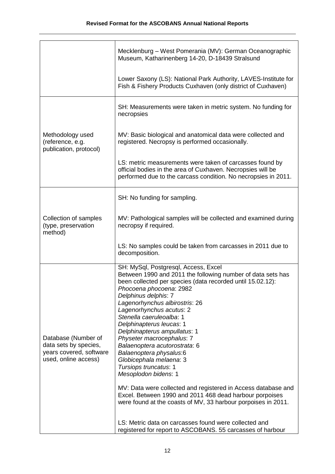|                                                                                                 | Mecklenburg - West Pomerania (MV): German Oceanographic<br>Museum, Katharinenberg 14-20, D-18439 Stralsund                                                                                                                                                                                                                                                                                                                                                                                                                                                                                                                                                                                                                                                                                                                                                          |  |
|-------------------------------------------------------------------------------------------------|---------------------------------------------------------------------------------------------------------------------------------------------------------------------------------------------------------------------------------------------------------------------------------------------------------------------------------------------------------------------------------------------------------------------------------------------------------------------------------------------------------------------------------------------------------------------------------------------------------------------------------------------------------------------------------------------------------------------------------------------------------------------------------------------------------------------------------------------------------------------|--|
|                                                                                                 | Lower Saxony (LS): National Park Authority, LAVES-Institute for<br>Fish & Fishery Products Cuxhaven (only district of Cuxhaven)                                                                                                                                                                                                                                                                                                                                                                                                                                                                                                                                                                                                                                                                                                                                     |  |
|                                                                                                 | SH: Measurements were taken in metric system. No funding for<br>necropsies                                                                                                                                                                                                                                                                                                                                                                                                                                                                                                                                                                                                                                                                                                                                                                                          |  |
| Methodology used<br>(reference, e.g.<br>publication, protocol)                                  | MV: Basic biological and anatomical data were collected and<br>registered. Necropsy is performed occasionally.                                                                                                                                                                                                                                                                                                                                                                                                                                                                                                                                                                                                                                                                                                                                                      |  |
|                                                                                                 | LS: metric measurements were taken of carcasses found by<br>official bodies in the area of Cuxhaven. Necropsies will be<br>performed due to the carcass condition. No necropsies in 2011.                                                                                                                                                                                                                                                                                                                                                                                                                                                                                                                                                                                                                                                                           |  |
|                                                                                                 | SH: No funding for sampling.                                                                                                                                                                                                                                                                                                                                                                                                                                                                                                                                                                                                                                                                                                                                                                                                                                        |  |
| Collection of samples<br>(type, preservation<br>method)                                         | MV: Pathological samples will be collected and examined during<br>necropsy if required.                                                                                                                                                                                                                                                                                                                                                                                                                                                                                                                                                                                                                                                                                                                                                                             |  |
|                                                                                                 | LS: No samples could be taken from carcasses in 2011 due to<br>decomposition.                                                                                                                                                                                                                                                                                                                                                                                                                                                                                                                                                                                                                                                                                                                                                                                       |  |
| Database (Number of<br>data sets by species,<br>years covered, software<br>used, online access) | SH: MySql, Postgresql, Access, Excel<br>Between 1990 and 2011 the following number of data sets has<br>been collected per species (data recorded until 15.02.12):<br>Phocoena phocoena: 2982<br>Delphinus delphis: 7<br>Lagenorhynchus albirostris: 26<br>Lagenorhynchus acutus: 2<br>Stenella caeruleoalba: 1<br>Delphinapterus leucas: 1<br>Delphinapterus ampullatus: 1<br>Physeter macrocephalus: 7<br>Balaenoptera acutorostrata: 6<br>Balaenoptera physalus:6<br>Globicephala melaena: 3<br>Tursiops truncatus: 1<br>Mesoplodon bidens: 1<br>MV: Data were collected and registered in Access database and<br>Excel. Between 1990 and 2011 468 dead harbour porpoises<br>were found at the coasts of MV, 33 harbour porpoises in 2011.<br>LS: Metric data on carcasses found were collected and<br>registered for report to ASCOBANS. 55 carcasses of harbour |  |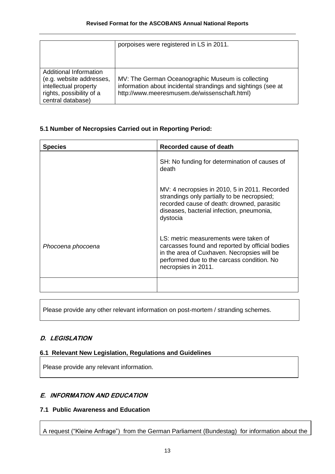|                                                                                                                                     | porpoises were registered in LS in 2011.                                                                                                                           |
|-------------------------------------------------------------------------------------------------------------------------------------|--------------------------------------------------------------------------------------------------------------------------------------------------------------------|
| <b>Additional Information</b><br>(e.g. website addresses,<br>intellectual property<br>rights, possibility of a<br>central database) | MV: The German Oceanographic Museum is collecting<br>information about incidental strandings and sightings (see at<br>http://www.meeresmusem.de/wissenschaft.html) |

## **5.1 Number of Necropsies Carried out in Reporting Period:**

| <b>Species</b>    | Recorded cause of death                                                                                                                                                                                      |
|-------------------|--------------------------------------------------------------------------------------------------------------------------------------------------------------------------------------------------------------|
|                   | SH: No funding for determination of causes of<br>death                                                                                                                                                       |
|                   | MV: 4 necropsies in 2010, 5 in 2011. Recorded<br>strandings only partially to be necropsied;<br>recorded cause of death: drowned, parasitic<br>diseases, bacterial infection, pneumonia,<br>dystocia         |
| Phocoena phocoena | LS: metric measurements were taken of<br>carcasses found and reported by official bodies<br>in the area of Cuxhaven. Necropsies will be<br>performed due to the carcass condition. No<br>necropsies in 2011. |
|                   |                                                                                                                                                                                                              |

Please provide any other relevant information on post-mortem / stranding schemes.

## **D. LEGISLATION**

## **6.1 Relevant New Legislation, Regulations and Guidelines**

Please provide any relevant information.

## **E. INFORMATION AND EDUCATION**

## **7.1 Public Awareness and Education**

A request ("Kleine Anfrage") from the German Parliament (Bundestag) for information about the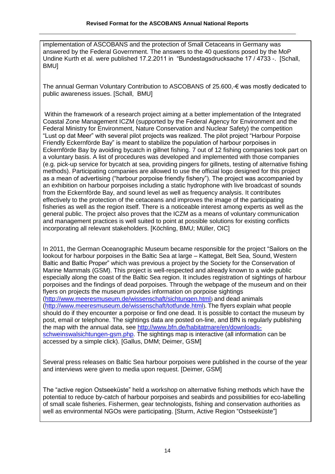implementation of ASCOBANS and the protection of Small Cetaceans in Germany was answered by the Federal Government. The answers to the 40 questions posed by the MoP Undine Kurth et al. were published 17.2.2011 in "Bundestagsdrucksache 17 / 4733 -. [Schall, BMU]

The annual German Voluntary Contribution to ASCOBANS of 25.600,-€ was mostly dedicated to public awareness issues. [Schall, BMU]

Within the framework of a research project aiming at a better implementation of the Integrated Coastal Zone Management ICZM (supported by the Federal Agency for Environment and the Federal Ministry for Environment, Nature Conservation and Nuclear Safety) the competition "Lust op dat Meer" with several pilot projects was realized. The pilot project "Harbour Porpoise Friendly Eckernförde Bay" is meant to stabilize the population of harbour porpoises in Eckernförde Bay by avoiding bycatch in gillnet fishing. 7 out of 12 fishing companies took part on a voluntary basis. A list of procedures was developed and implemented with those companies (e.g. pick-up service for bycatch at sea, providing pingers for gillnets, testing of alternative fishing methods). Participating companies are allowed to use the official logo designed for this project as a mean of advertising ("harbour porpoise friendly fishery"). The project was accompanied by an exhibition on harbour porpoises including a static hydrophone with live broadcast of sounds from the Eckernförde Bay, and sound level as well as frequency analysis. It contributes effectively to the protection of the cetaceans and improves the image of the participating fisheries as well as the region itself. There is a noticeable interest among experts as well as the general public. The project also proves that the ICZM as a means of voluntary communication and management practices is well suited to point at possible solutions for existing conflicts incorporating all relevant stakeholders. [Köchling, BMU; Müller, OIC]

In 2011, the German Oceanographic Museum became responsible for the project "Sailors on the lookout for harbour porpoises in the Baltic Sea at large – Kattegat, Belt Sea, Sound, Western Baltic and Baltic Proper" which was previous a project by the Society for the Conservation of Marine Mammals (GSM). This project is well-respected and already known to a wide public especially along the coast of the Baltic Sea region. It includes registration of sightings of harbour porpoises and the findings of dead porpoises. Through the webpage of the museum and on their flyers on projects the museum provides information on porpoise sightings [\(http://www.meeresmuseum.de/wissenschaft/sichtungen.html](http://www.meeresmuseum.de/wissenschaft/sichtungen.html)) and dead animals [\(http://www.meeresmuseum.de/wissenschaft/totfunde.html](http://www.meeresmuseum.de/wissenschaft/totfunde.html)). The flyers explain what people should do if they encounter a porpoise or find one dead. It is possible to contact the museum by post, email or telephone. The sightings data are posted on-line, and BfN is regularly publishing the map with the annual data, see [http://www.bfn.de/habitatmare/en/downloads](http://www.bfn.de/habitatmare/en/downloads-schweinswalsichtungen-gsm.php)[schweinswalsichtungen-gsm.php.](http://www.bfn.de/habitatmare/en/downloads-schweinswalsichtungen-gsm.php) The sightings map is interactive (all information can be accessed by a simple click). [Gallus, DMM; Deimer, GSM]

Several press releases on Baltic Sea harbour porpoises were published in the course of the year and interviews were given to media upon request. [Deimer, GSM]

The "active region Ostseeküste" held a workshop on alternative fishing methods which have the potential to reduce by-catch of harbour porpoises and seabirds and possibilities for eco-labelling of small scale fisheries. Fishermen, gear technologists, fishing and conservation authorities as well as environmental NGOs were participating. [Sturm, Active Region "Ostseeküste"]